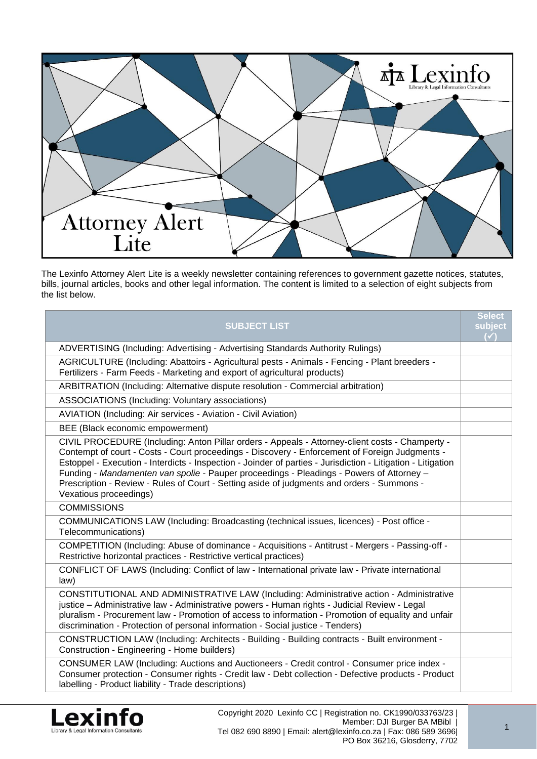

The Lexinfo Attorney Alert Lite is a weekly newsletter containing references to government gazette notices, statutes, bills, journal articles, books and other legal information. The content is limited to a selection of eight subjects from the list below.

| <b>SUBJECT LIST</b>                                                                                                                                                                                                                                                                                                                                                                                                                                                                                                                   | <b>Select</b><br>subject<br>$\left( \sqrt{\ }}\right)$ |
|---------------------------------------------------------------------------------------------------------------------------------------------------------------------------------------------------------------------------------------------------------------------------------------------------------------------------------------------------------------------------------------------------------------------------------------------------------------------------------------------------------------------------------------|--------------------------------------------------------|
| ADVERTISING (Including: Advertising - Advertising Standards Authority Rulings)                                                                                                                                                                                                                                                                                                                                                                                                                                                        |                                                        |
| AGRICULTURE (Including: Abattoirs - Agricultural pests - Animals - Fencing - Plant breeders -<br>Fertilizers - Farm Feeds - Marketing and export of agricultural products)                                                                                                                                                                                                                                                                                                                                                            |                                                        |
| ARBITRATION (Including: Alternative dispute resolution - Commercial arbitration)                                                                                                                                                                                                                                                                                                                                                                                                                                                      |                                                        |
| ASSOCIATIONS (Including: Voluntary associations)                                                                                                                                                                                                                                                                                                                                                                                                                                                                                      |                                                        |
| AVIATION (Including: Air services - Aviation - Civil Aviation)                                                                                                                                                                                                                                                                                                                                                                                                                                                                        |                                                        |
| BEE (Black economic empowerment)                                                                                                                                                                                                                                                                                                                                                                                                                                                                                                      |                                                        |
| CIVIL PROCEDURE (Including: Anton Pillar orders - Appeals - Attorney-client costs - Champerty -<br>Contempt of court - Costs - Court proceedings - Discovery - Enforcement of Foreign Judgments -<br>Estoppel - Execution - Interdicts - Inspection - Joinder of parties - Jurisdiction - Litigation - Litigation<br>Funding - Mandamenten van spolie - Pauper proceedings - Pleadings - Powers of Attorney -<br>Prescription - Review - Rules of Court - Setting aside of judgments and orders - Summons -<br>Vexatious proceedings) |                                                        |
| <b>COMMISSIONS</b>                                                                                                                                                                                                                                                                                                                                                                                                                                                                                                                    |                                                        |
| COMMUNICATIONS LAW (Including: Broadcasting (technical issues, licences) - Post office -<br>Telecommunications)                                                                                                                                                                                                                                                                                                                                                                                                                       |                                                        |
| COMPETITION (Including: Abuse of dominance - Acquisitions - Antitrust - Mergers - Passing-off -<br>Restrictive horizontal practices - Restrictive vertical practices)                                                                                                                                                                                                                                                                                                                                                                 |                                                        |
| CONFLICT OF LAWS (Including: Conflict of law - International private law - Private international<br>law)                                                                                                                                                                                                                                                                                                                                                                                                                              |                                                        |
| CONSTITUTIONAL AND ADMINISTRATIVE LAW (Including: Administrative action - Administrative<br>justice - Administrative law - Administrative powers - Human rights - Judicial Review - Legal<br>pluralism - Procurement law - Promotion of access to information - Promotion of equality and unfair<br>discrimination - Protection of personal information - Social justice - Tenders)                                                                                                                                                   |                                                        |
| CONSTRUCTION LAW (Including: Architects - Building - Building contracts - Built environment -<br>Construction - Engineering - Home builders)                                                                                                                                                                                                                                                                                                                                                                                          |                                                        |
| CONSUMER LAW (Including: Auctions and Auctioneers - Credit control - Consumer price index -<br>Consumer protection - Consumer rights - Credit law - Debt collection - Defective products - Product<br>labelling - Product liability - Trade descriptions)                                                                                                                                                                                                                                                                             |                                                        |

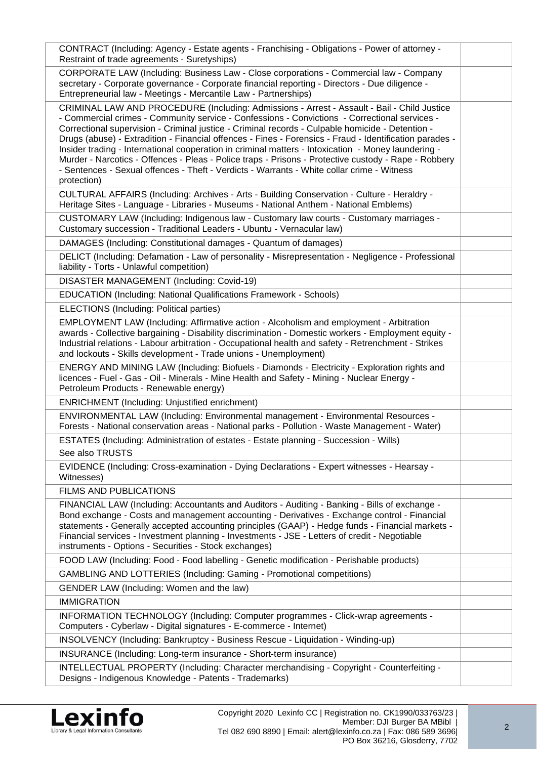| CONTRACT (Including: Agency - Estate agents - Franchising - Obligations - Power of attorney -<br>Restraint of trade agreements - Suretyships)                                                                                                                                                                                                                                                                                                                                                                                                                                                                                                                                                                                           |  |
|-----------------------------------------------------------------------------------------------------------------------------------------------------------------------------------------------------------------------------------------------------------------------------------------------------------------------------------------------------------------------------------------------------------------------------------------------------------------------------------------------------------------------------------------------------------------------------------------------------------------------------------------------------------------------------------------------------------------------------------------|--|
| CORPORATE LAW (Including: Business Law - Close corporations - Commercial law - Company<br>secretary - Corporate governance - Corporate financial reporting - Directors - Due diligence -<br>Entrepreneurial law - Meetings - Mercantile Law - Partnerships)                                                                                                                                                                                                                                                                                                                                                                                                                                                                             |  |
| CRIMINAL LAW AND PROCEDURE (Including: Admissions - Arrest - Assault - Bail - Child Justice<br>- Commercial crimes - Community service - Confessions - Convictions - Correctional services -<br>Correctional supervision - Criminal justice - Criminal records - Culpable homicide - Detention -<br>Drugs (abuse) - Extradition - Financial offences - Fines - Forensics - Fraud - Identification parades -<br>Insider trading - International cooperation in criminal matters - Intoxication - Money laundering -<br>Murder - Narcotics - Offences - Pleas - Police traps - Prisons - Protective custody - Rape - Robbery<br>- Sentences - Sexual offences - Theft - Verdicts - Warrants - White collar crime - Witness<br>protection) |  |
| CULTURAL AFFAIRS (Including: Archives - Arts - Building Conservation - Culture - Heraldry -<br>Heritage Sites - Language - Libraries - Museums - National Anthem - National Emblems)                                                                                                                                                                                                                                                                                                                                                                                                                                                                                                                                                    |  |
| CUSTOMARY LAW (Including: Indigenous law - Customary law courts - Customary marriages -<br>Customary succession - Traditional Leaders - Ubuntu - Vernacular law)                                                                                                                                                                                                                                                                                                                                                                                                                                                                                                                                                                        |  |
| DAMAGES (Including: Constitutional damages - Quantum of damages)                                                                                                                                                                                                                                                                                                                                                                                                                                                                                                                                                                                                                                                                        |  |
| DELICT (Including: Defamation - Law of personality - Misrepresentation - Negligence - Professional<br>liability - Torts - Unlawful competition)                                                                                                                                                                                                                                                                                                                                                                                                                                                                                                                                                                                         |  |
| DISASTER MANAGEMENT (Including: Covid-19)                                                                                                                                                                                                                                                                                                                                                                                                                                                                                                                                                                                                                                                                                               |  |
| EDUCATION (Including: National Qualifications Framework - Schools)                                                                                                                                                                                                                                                                                                                                                                                                                                                                                                                                                                                                                                                                      |  |
| ELECTIONS (Including: Political parties)                                                                                                                                                                                                                                                                                                                                                                                                                                                                                                                                                                                                                                                                                                |  |
| EMPLOYMENT LAW (Including: Affirmative action - Alcoholism and employment - Arbitration<br>awards - Collective bargaining - Disability discrimination - Domestic workers - Employment equity -<br>Industrial relations - Labour arbitration - Occupational health and safety - Retrenchment - Strikes<br>and lockouts - Skills development - Trade unions - Unemployment)                                                                                                                                                                                                                                                                                                                                                               |  |
| ENERGY AND MINING LAW (Including: Biofuels - Diamonds - Electricity - Exploration rights and<br>licences - Fuel - Gas - Oil - Minerals - Mine Health and Safety - Mining - Nuclear Energy -<br>Petroleum Products - Renewable energy)                                                                                                                                                                                                                                                                                                                                                                                                                                                                                                   |  |
| <b>ENRICHMENT</b> (Including: Unjustified enrichment)                                                                                                                                                                                                                                                                                                                                                                                                                                                                                                                                                                                                                                                                                   |  |
| ENVIRONMENTAL LAW (Including: Environmental management - Environmental Resources -<br>Forests - National conservation areas - National parks - Pollution - Waste Management - Water)                                                                                                                                                                                                                                                                                                                                                                                                                                                                                                                                                    |  |
| ESTATES (Including: Administration of estates - Estate planning - Succession - Wills)<br>See also TRUSTS                                                                                                                                                                                                                                                                                                                                                                                                                                                                                                                                                                                                                                |  |
| EVIDENCE (Including: Cross-examination - Dying Declarations - Expert witnesses - Hearsay -<br>Witnesses)                                                                                                                                                                                                                                                                                                                                                                                                                                                                                                                                                                                                                                |  |
| <b>FILMS AND PUBLICATIONS</b>                                                                                                                                                                                                                                                                                                                                                                                                                                                                                                                                                                                                                                                                                                           |  |
| FINANCIAL LAW (Including: Accountants and Auditors - Auditing - Banking - Bills of exchange -<br>Bond exchange - Costs and management accounting - Derivatives - Exchange control - Financial<br>statements - Generally accepted accounting principles (GAAP) - Hedge funds - Financial markets -<br>Financial services - Investment planning - Investments - JSE - Letters of credit - Negotiable<br>instruments - Options - Securities - Stock exchanges)                                                                                                                                                                                                                                                                             |  |
| FOOD LAW (Including: Food - Food labelling - Genetic modification - Perishable products)                                                                                                                                                                                                                                                                                                                                                                                                                                                                                                                                                                                                                                                |  |
| GAMBLING AND LOTTERIES (Including: Gaming - Promotional competitions)                                                                                                                                                                                                                                                                                                                                                                                                                                                                                                                                                                                                                                                                   |  |
| GENDER LAW (Including: Women and the law)                                                                                                                                                                                                                                                                                                                                                                                                                                                                                                                                                                                                                                                                                               |  |
| <b>IMMIGRATION</b>                                                                                                                                                                                                                                                                                                                                                                                                                                                                                                                                                                                                                                                                                                                      |  |
| INFORMATION TECHNOLOGY (Including: Computer programmes - Click-wrap agreements -<br>Computers - Cyberlaw - Digital signatures - E-commerce - Internet)                                                                                                                                                                                                                                                                                                                                                                                                                                                                                                                                                                                  |  |
| INSOLVENCY (Including: Bankruptcy - Business Rescue - Liquidation - Winding-up)                                                                                                                                                                                                                                                                                                                                                                                                                                                                                                                                                                                                                                                         |  |
| INSURANCE (Including: Long-term insurance - Short-term insurance)                                                                                                                                                                                                                                                                                                                                                                                                                                                                                                                                                                                                                                                                       |  |
| INTELLECTUAL PROPERTY (Including: Character merchandising - Copyright - Counterfeiting -<br>Designs - Indigenous Knowledge - Patents - Trademarks)                                                                                                                                                                                                                                                                                                                                                                                                                                                                                                                                                                                      |  |
|                                                                                                                                                                                                                                                                                                                                                                                                                                                                                                                                                                                                                                                                                                                                         |  |